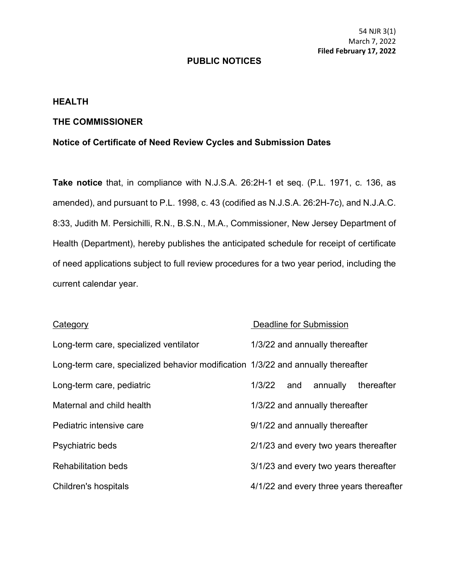# **PUBLIC NOTICES**

## **HEALTH**

# **THE COMMISSIONER**

# **Notice of Certificate of Need Review Cycles and Submission Dates**

**Take notice** that, in compliance with N.J.S.A. 26:2H-1 et seq. (P.L. 1971, c. 136, as amended), and pursuant to P.L. 1998, c. 43 (codified as N.J.S.A. 26:2H-7c), and N.J.A.C. 8:33, Judith M. Persichilli, R.N., B.S.N., M.A., Commissioner, New Jersey Department of Health (Department), hereby publishes the anticipated schedule for receipt of certificate of need applications subject to full review procedures for a two year period, including the current calendar year.

### **Category Deadline for Submission**

| Long-term care, specialized ventilator                                           | 1/3/22 and annually thereafter        |     |                                       |                                         |  |
|----------------------------------------------------------------------------------|---------------------------------------|-----|---------------------------------------|-----------------------------------------|--|
| Long-term care, specialized behavior modification 1/3/22 and annually thereafter |                                       |     |                                       |                                         |  |
| Long-term care, pediatric                                                        | 1/3/22                                | and | annually                              | thereafter                              |  |
| Maternal and child health                                                        | 1/3/22 and annually thereafter        |     |                                       |                                         |  |
| Pediatric intensive care                                                         | 9/1/22 and annually thereafter        |     |                                       |                                         |  |
| Psychiatric beds                                                                 | 2/1/23 and every two years thereafter |     |                                       |                                         |  |
| <b>Rehabilitation beds</b>                                                       |                                       |     | 3/1/23 and every two years thereafter |                                         |  |
| Children's hospitals                                                             |                                       |     |                                       | 4/1/22 and every three years thereafter |  |